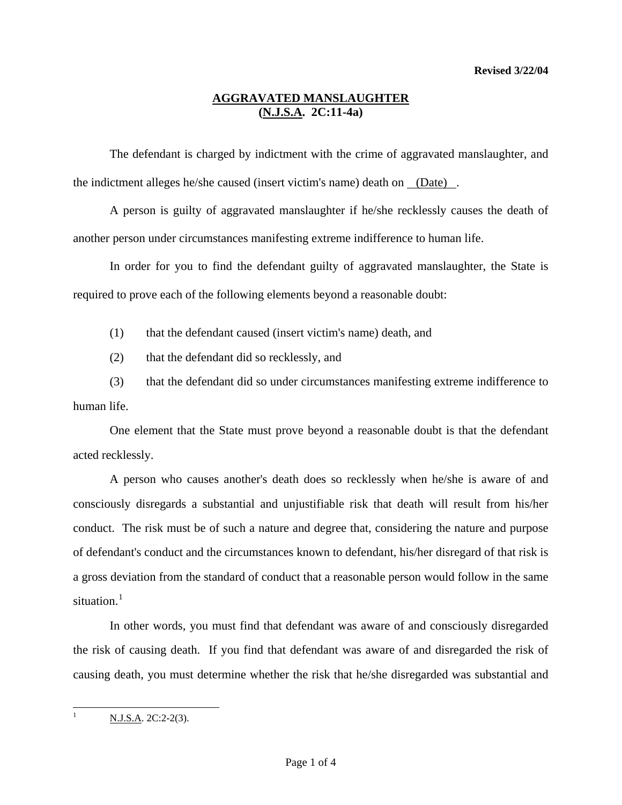### **AGGRAVATED MANSLAUGHTER (N.J.S.A. 2C:11-4a)**

 The defendant is charged by indictment with the crime of aggravated manslaughter, and the indictment alleges he/she caused (insert victim's name) death on (Date) .

A person is guilty of aggravated manslaughter if he/she recklessly causes the death of another person under circumstances manifesting extreme indifference to human life.

 In order for you to find the defendant guilty of aggravated manslaughter, the State is required to prove each of the following elements beyond a reasonable doubt:

(1) that the defendant caused (insert victim's name) death, and

(2) that the defendant did so recklessly, and

 (3) that the defendant did so under circumstances manifesting extreme indifference to human life.

<span id="page-0-1"></span> One element that the State must prove beyond a reasonable doubt is that the defendant acted recklessly.

 A person who causes another's death does so recklessly when he/she is aware of and consciously disregards a substantial and unjustifiable risk that death will result from his/her conduct. The risk must be of such a nature and degree that, considering the nature and purpose of defendant's conduct and the circumstances known to defendant, his/her disregard of that risk is a gross deviation from the standard of conduct that a reasonable person would follow in the same situation. $1$ 

 In other words, you must find that defendant was aware of and consciously disregarded the risk of causing death. If you find that defendant was aware of and disregarded the risk of causing death, you must determine whether the risk that he/she disregarded was substantial and

<span id="page-0-0"></span> $\overline{\phantom{a}}$ 

N.J.S.A. 2C:2-2(3).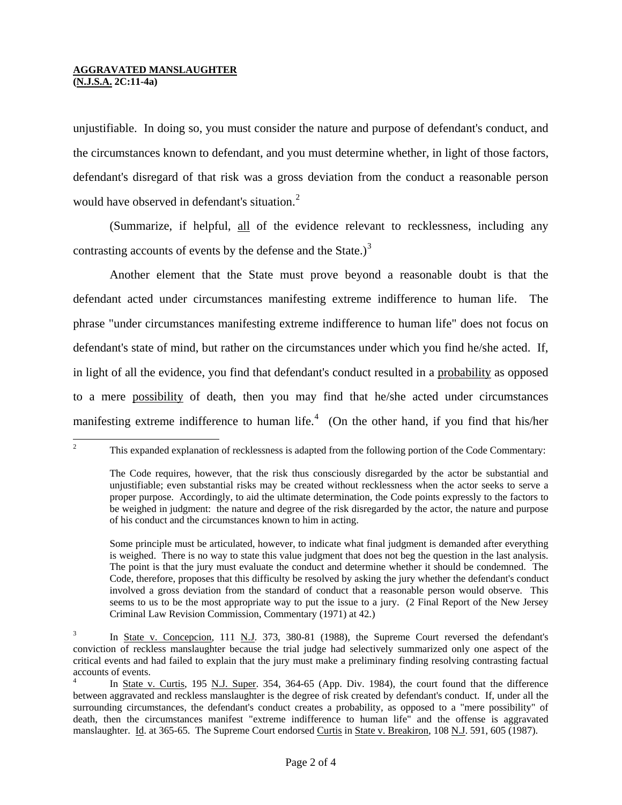### **AGGRAVATED MANSLAUGHTER (N.J.S.A. 2C:11-4a)**

unjustifiable. In doing so, you must consider the nature and purpose of defendant's conduct, and the circumstances known to defendant, and you must determine whether, in light of those factors, defendant's disregard of that risk was a gross deviation from the conduct a reasonable person would have observed in defendant's situation.<sup>[2](#page-0-1)</sup>

 (Summarize, if helpful, all of the evidence relevant to recklessness, including any contrasting accounts of events by the defense and the State.) $3$ 

 Another element that the State must prove beyond a reasonable doubt is that the defendant acted under circumstances manifesting extreme indifference to human life. The phrase "under circumstances manifesting extreme indifference to human life" does not focus on defendant's state of mind, but rather on the circumstances under which you find he/she acted. If, in light of all the evidence, you find that defendant's conduct resulted in a probability as opposed to a mere possibility of death, then you may find that he/she acted under circumstances manifesting extreme indifference to human life. $4$  (On the other hand, if you find that his/her

 $\frac{1}{2}$ This expanded explanation of recklessness is adapted from the following portion of the Code Commentary:

The Code requires, however, that the risk thus consciously disregarded by the actor be substantial and unjustifiable; even substantial risks may be created without recklessness when the actor seeks to serve a proper purpose. Accordingly, to aid the ultimate determination, the Code points expressly to the factors to be weighed in judgment: the nature and degree of the risk disregarded by the actor, the nature and purpose of his conduct and the circumstances known to him in acting.

Some principle must be articulated, however, to indicate what final judgment is demanded after everything is weighed. There is no way to state this value judgment that does not beg the question in the last analysis. The point is that the jury must evaluate the conduct and determine whether it should be condemned. The Code, therefore, proposes that this difficulty be resolved by asking the jury whether the defendant's conduct involved a gross deviation from the standard of conduct that a reasonable person would observe. This seems to us to be the most appropriate way to put the issue to a jury. (2 Final Report of the New Jersey Criminal Law Revision Commission, Commentary (1971) at 42.)

<span id="page-1-0"></span><sup>3</sup> In State v. Concepcion, 111 N.J. 373, 380-81 (1988), the Supreme Court reversed the defendant's conviction of reckless manslaughter because the trial judge had selectively summarized only one aspect of the critical events and had failed to explain that the jury must make a preliminary finding resolving contrasting factual accounts of events.

<span id="page-1-2"></span><span id="page-1-1"></span><sup>4</sup> In State v. Curtis, 195 N.J. Super. 354, 364-65 (App. Div. 1984), the court found that the difference between aggravated and reckless manslaughter is the degree of risk created by defendant's conduct. If, under all the surrounding circumstances, the defendant's conduct creates a probability, as opposed to a "mere possibility" of death, then the circumstances manifest "extreme indifference to human life" and the offense is aggravated manslaughter. Id. at 365-65. The Supreme Court endorsed Curtis in State v. Breakiron, 108 N.J. 591, 605 (1987).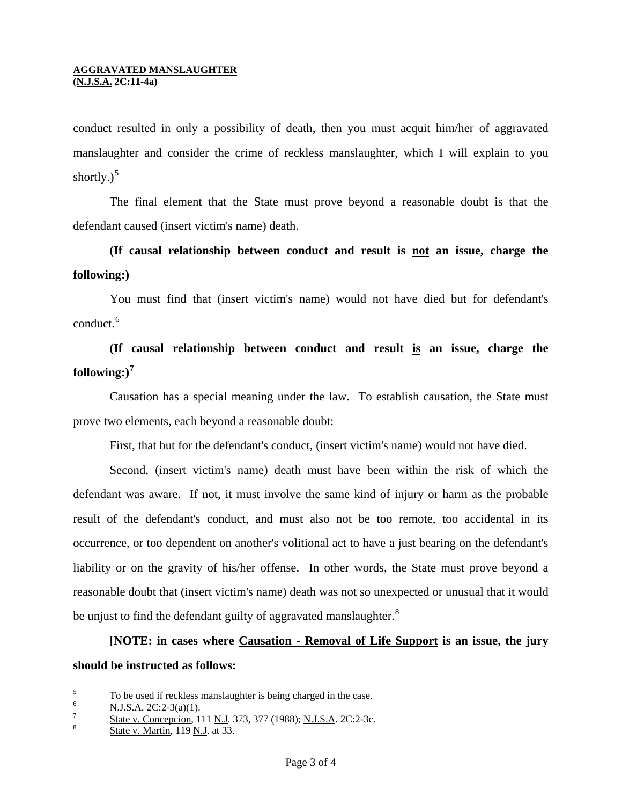conduct resulted in only a possibility of death, then you must acquit him/her of aggravated manslaughter and consider the crime of reckless manslaughter, which I will explain to you shortly. $)^5$  $)^5$ 

 The final element that the State must prove beyond a reasonable doubt is that the defendant caused (insert victim's name) death.

# **(If causal relationship between conduct and result is not an issue, charge the following:)**

 You must find that (insert victim's name) would not have died but for defendant's conduct.<sup>[6](#page-2-0)</sup>

**(If causal relationship between conduct and result is an issue, charge the**   $\textbf{following:}\right)^7$ 

 Causation has a special meaning under the law. To establish cau sation, the State must prove two elements, each beyond a reasonable doubt:

First, that but for the defendant's conduct, (insert victim's name) would not have died.

reasonable doubt that (insert victim's name) death was not so unexpected or unusual that it would Second, (insert victim's name) death must have been within the risk of which the defendant was aware. If not, it must involve the same kind of injury or harm as the probable result of the defendant's conduct, and must also not be too remote, too accidental in its occurrence, or too dependent on another's volitional act to have a just bearing on the defendant's liability or on the gravity of his/her offense. In other words, the State must prove beyond a be unjust to find the defendant guilty of aggravated manslaughter.<sup>8</sup>

**[NOTE:** in cases where **Causation - Removal of Life Support** is an issue, the jury **should be instructed as follows:** 

 5 To be used if reckless manslaughter is being charged in the case.

<span id="page-2-1"></span><span id="page-2-0"></span><sup>6</sup>  $\frac{N. J.S.A.}{T}$  2C:2-3(a)(1).

State v. Concepcion, 111 N.J. 373, 377 (1988); N.J.S.A. 2C:2-3c. 8

State v. Martin, 119 N.J. at 33.